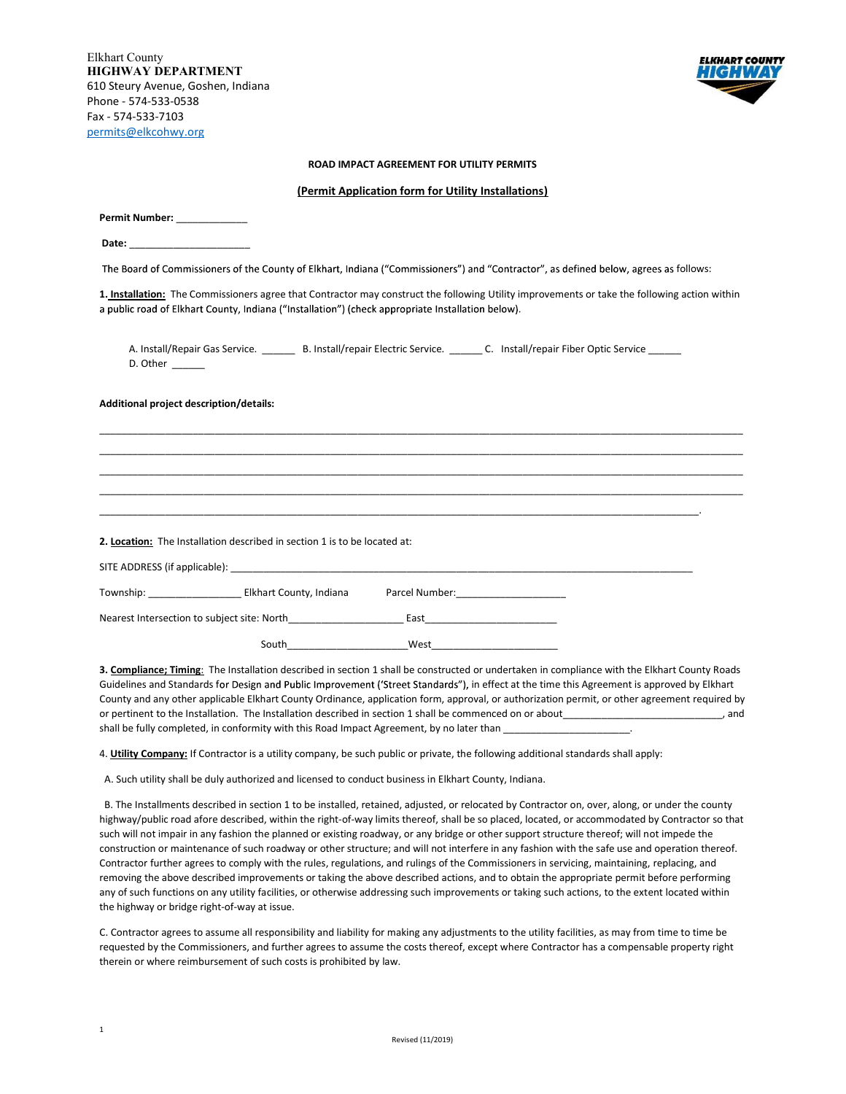Elkhart County HIGHWAY DEPARTMENT 610 Steury Avenue, Goshen, Indiana Phone - 574-533-0538 Fax - 574-533-7103 permits@elkcohwy.org



## ROAD IMPACT AGREEMENT FOR UTILITY PERMITS

## (Permit Application form for Utility Installations)

| Permit Number: ______________                                             |       |                                                                                                                                       |                                                                                                                                               |
|---------------------------------------------------------------------------|-------|---------------------------------------------------------------------------------------------------------------------------------------|-----------------------------------------------------------------------------------------------------------------------------------------------|
| Date: _________________________                                           |       |                                                                                                                                       |                                                                                                                                               |
|                                                                           |       | The Board of Commissioners of the County of Elkhart, Indiana ("Commissioners") and "Contractor", as defined below, agrees as follows: |                                                                                                                                               |
|                                                                           |       | a public road of Elkhart County, Indiana ("Installation") (check appropriate Installation below).                                     | 1. Installation: The Commissioners agree that Contractor may construct the following Utility improvements or take the following action within |
| D. Other ______                                                           |       | A. Install/Repair Gas Service. _________ B. Install/repair Electric Service. ______ C. Install/repair Fiber Optic Service ______      |                                                                                                                                               |
| Additional project description/details:                                   |       |                                                                                                                                       |                                                                                                                                               |
|                                                                           |       |                                                                                                                                       |                                                                                                                                               |
|                                                                           |       |                                                                                                                                       |                                                                                                                                               |
|                                                                           |       |                                                                                                                                       |                                                                                                                                               |
|                                                                           |       |                                                                                                                                       |                                                                                                                                               |
| 2. Location: The Installation described in section 1 is to be located at: |       |                                                                                                                                       |                                                                                                                                               |
|                                                                           |       |                                                                                                                                       |                                                                                                                                               |
|                                                                           |       |                                                                                                                                       |                                                                                                                                               |
|                                                                           |       |                                                                                                                                       |                                                                                                                                               |
|                                                                           | South | West                                                                                                                                  |                                                                                                                                               |

3. Compliance; Timing: The Installation described in section 1 shall be constructed or undertaken in compliance with the Elkhart County Roads Guidelines and Standards for Design and Public Improvement ('Street Standards"), in effect at the time this Agreement is approved by Elkhart County and any other applicable Elkhart County Ordinance, application form, approval, or authorization permit, or other agreement required by or pertinent to the Installation. The Installation described in section 1 shall be commenced on or about\_\_\_\_\_\_\_\_\_\_\_\_\_\_\_\_\_\_\_\_\_\_\_\_\_\_\_\_\_, and shall be fully completed, in conformity with this Road Impact Agreement, by no later than \_\_\_\_\_\_\_\_\_

4. Utility Company: If Contractor is a utility company, be such public or private, the following additional standards shall apply:

A. Such utility shall be duly authorized and licensed to conduct business in Elkhart County, Indiana.

 B. The Installments described in section 1 to be installed, retained, adjusted, or relocated by Contractor on, over, along, or under the county highway/public road afore described, within the right-of-way limits thereof, shall be so placed, located, or accommodated by Contractor so that such will not impair in any fashion the planned or existing roadway, or any bridge or other support structure thereof; will not impede the construction or maintenance of such roadway or other structure; and will not interfere in any fashion with the safe use and operation thereof. Contractor further agrees to comply with the rules, regulations, and rulings of the Commissioners in servicing, maintaining, replacing, and removing the above described improvements or taking the above described actions, and to obtain the appropriate permit before performing any of such functions on any utility facilities, or otherwise addressing such improvements or taking such actions, to the extent located within the highway or bridge right-of-way at issue.

C. Contractor agrees to assume all responsibility and liability for making any adjustments to the utility facilities, as may from time to time be requested by the Commissioners, and further agrees to assume the costs thereof, except where Contractor has a compensable property right therein or where reimbursement of such costs is prohibited by law.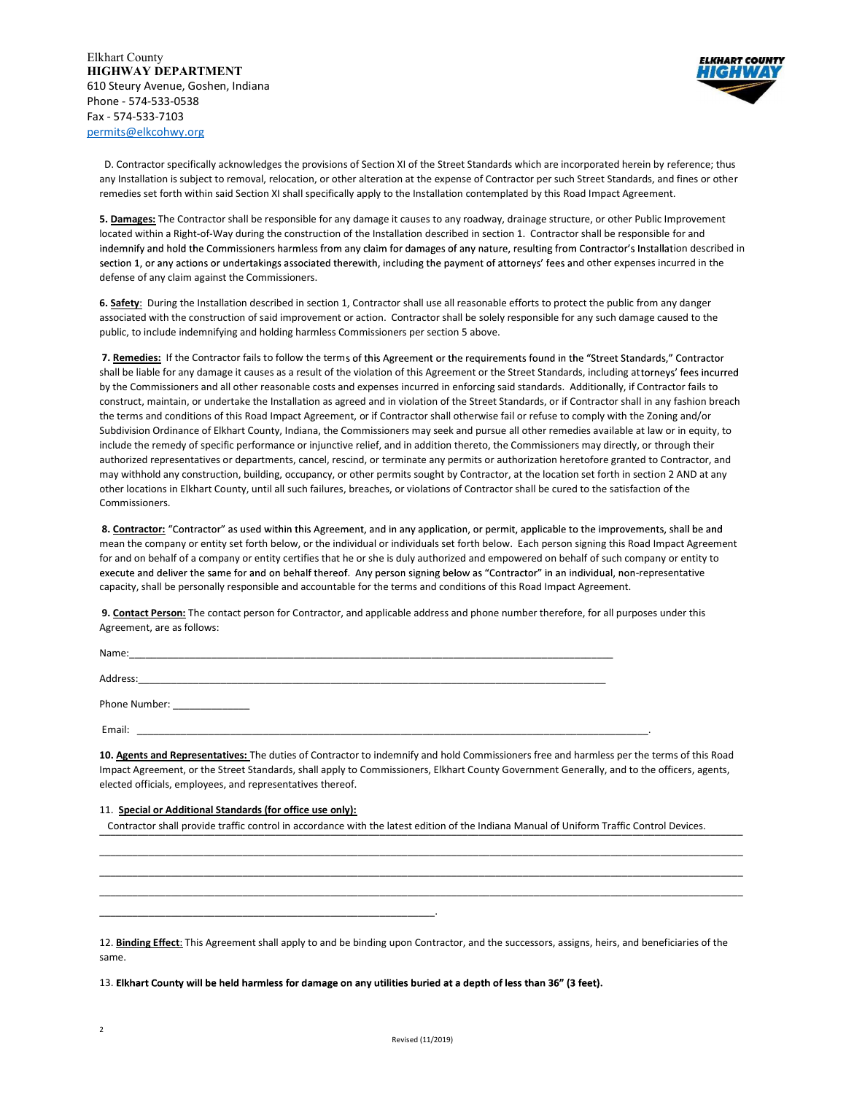

 D. Contractor specifically acknowledges the provisions of Section XI of the Street Standards which are incorporated herein by reference; thus any Installation is subject to removal, relocation, or other alteration at the expense of Contractor per such Street Standards, and fines or other remedies set forth within said Section XI shall specifically apply to the Installation contemplated by this Road Impact Agreement.

5. Damages: The Contractor shall be responsible for any damage it causes to any roadway, drainage structure, or other Public Improvement located within a Right-of-Way during the construction of the Installation described in section 1. Contractor shall be responsible for and indemnify and hold the Commissioners harmless from any claim for damages of any nature, resulting from Contractor's Installation described in section 1, or any actions or undertakings associated therewith, including the payment of attorneys' fees and other expenses incurred in the defense of any claim against the Commissioners.

6. Safety: During the Installation described in section 1, Contractor shall use all reasonable efforts to protect the public from any danger associated with the construction of said improvement or action. Contractor shall be solely responsible for any such damage caused to the public, to include indemnifying and holding harmless Commissioners per section 5 above.

7. Remedies: If the Contractor fails to follow the terms of this Agreement or the requirements found in the "Street Standards," Contractor shall be liable for any damage it causes as a result of the violation of this Agreement or the Street Standards, including attorneys' fees incurred by the Commissioners and all other reasonable costs and expenses incurred in enforcing said standards. Additionally, if Contractor fails to construct, maintain, or undertake the Installation as agreed and in violation of the Street Standards, or if Contractor shall in any fashion breach the terms and conditions of this Road Impact Agreement, or if Contractor shall otherwise fail or refuse to comply with the Zoning and/or Subdivision Ordinance of Elkhart County, Indiana, the Commissioners may seek and pursue all other remedies available at law or in equity, to include the remedy of specific performance or injunctive relief, and in addition thereto, the Commissioners may directly, or through their authorized representatives or departments, cancel, rescind, or terminate any permits or authorization heretofore granted to Contractor, and may withhold any construction, building, occupancy, or other permits sought by Contractor, at the location set forth in section 2 AND at any other locations in Elkhart County, until all such failures, breaches, or violations of Contractor shall be cured to the satisfaction of the Commissioners.

8. Contractor: "Contractor" as used within this Agreement, and in any application, or permit, applicable to the improvements, shall be and mean the company or entity set forth below, or the individual or individuals set forth below. Each person signing this Road Impact Agreement for and on behalf of a company or entity certifies that he or she is duly authorized and empowered on behalf of such company or entity to execute and deliver the same for and on behalf thereof. Any person signing below as "Contractor" in an individual, non-representative capacity, shall be personally responsible and accountable for the terms and conditions of this Road Impact Agreement.

9. Contact Person: The contact person for Contractor, and applicable address and phone number therefore, for all purposes under this Agreement, are as follows:

| Name:         |  |
|---------------|--|
| Address:      |  |
| Phone Number: |  |
| Email:        |  |

10. Agents and Representatives: The duties of Contractor to indemnify and hold Commissioners free and harmless per the terms of this Road Impact Agreement, or the Street Standards, shall apply to Commissioners, Elkhart County Government Generally, and to the officers, agents, elected officials, employees, and representatives thereof.

\_\_\_\_\_\_\_\_\_\_\_\_\_\_\_\_\_\_\_\_\_\_\_\_\_\_\_\_\_\_\_\_\_\_\_\_\_\_\_\_\_\_\_\_\_\_\_\_\_\_\_\_\_\_\_\_\_\_\_\_\_\_\_\_\_\_\_\_\_\_\_\_\_\_\_\_\_\_\_\_\_\_\_\_\_\_\_\_\_\_\_\_\_\_\_\_\_\_\_\_\_\_\_\_\_\_\_\_\_\_\_\_\_\_\_\_\_ \_\_\_\_\_\_\_\_\_\_\_\_\_\_\_\_\_\_\_\_\_\_\_\_\_\_\_\_\_\_\_\_\_\_\_\_\_\_\_\_\_\_\_\_\_\_\_\_\_\_\_\_\_\_\_\_\_\_\_\_\_\_\_\_\_\_\_\_\_\_\_\_\_\_\_\_\_\_\_\_\_\_\_\_\_\_\_\_\_\_\_\_\_\_\_\_\_\_\_\_\_\_\_\_\_\_\_\_\_\_\_\_\_\_\_\_\_ \_\_\_\_\_\_\_\_\_\_\_\_\_\_\_\_\_\_\_\_\_\_\_\_\_\_\_\_\_\_\_\_\_\_\_\_\_\_\_\_\_\_\_\_\_\_\_\_\_\_\_\_\_\_\_\_\_\_\_\_\_\_\_\_\_\_\_\_\_\_\_\_\_\_\_\_\_\_\_\_\_\_\_\_\_\_\_\_\_\_\_\_\_\_\_\_\_\_\_\_\_\_\_\_\_\_\_\_\_\_\_\_\_\_\_\_\_

## 11. Special or Additional Standards (for office use only):

\_\_\_\_\_\_\_\_\_\_\_\_\_\_\_\_\_\_\_\_\_\_\_\_\_\_\_\_\_\_\_\_\_\_\_\_\_\_\_\_\_\_\_\_\_\_\_\_\_\_\_\_\_\_\_\_\_\_\_\_\_.

Contractor shall provide traffic control in accordance with the latest edition of the Indiana Manual of Uniform Traffic Control Devices.

12. Binding Effect: This Agreement shall apply to and be binding upon Contractor, and the successors, assigns, heirs, and beneficiaries of the same.

13. Elkhart County will be held harmless for damage on any utilities buried at a depth of less than 36" (3 feet).